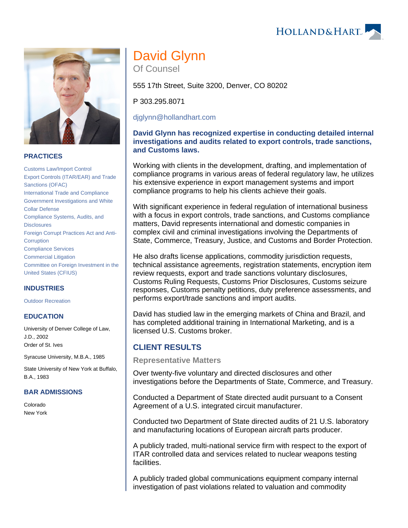



#### **PRACTICES**

[Customs Law/Import Control](https://www.hollandhart.com/19744) [Export Controls \(ITAR/EAR\) and Trade](https://www.hollandhart.com/19662)  [Sanctions \(OFAC\)](https://www.hollandhart.com/19662) [International Trade and Compliance](https://www.hollandhart.com/19752) [Government Investigations and White](https://www.hollandhart.com/19750)  [Collar Defense](https://www.hollandhart.com/19750) [Compliance Systems, Audits, and](https://www.hollandhart.com/19747)  **[Disclosures](https://www.hollandhart.com/19747)** [Foreign Corrupt Practices Act and Anti-](https://www.hollandhart.com/19707)**[Corruption](https://www.hollandhart.com/19707)** [Compliance Services](https://www.hollandhart.com/28491) [Commercial Litigation](https://www.hollandhart.com/19684) [Committee on Foreign Investment in the](https://www.hollandhart.com/19710)  [United States \(CFIUS\)](https://www.hollandhart.com/19710)

#### **INDUSTRIES**

[Outdoor Recreation](https://www.hollandhart.com/34315)

#### **EDUCATION**

University of Denver College of Law, J.D., 2002 Order of St. Ives

Syracuse University, M.B.A., 1985

State University of New York at Buffalo, B.A., 1983

#### **BAR ADMISSIONS**

Colorado New York

# David Glynn Of Counsel

555 17th Street, Suite 3200, Denver, CO 80202

P 303.295.8071

[djglynn@hollandhart.com](mailto:djglynn@hollandhart.com)

#### **David Glynn has recognized expertise in conducting detailed internal investigations and audits related to export controls, trade sanctions, and Customs laws.**

Working with clients in the development, drafting, and implementation of compliance programs in various areas of federal regulatory law, he utilizes his extensive experience in export management systems and import compliance programs to help his clients achieve their goals.

With significant experience in federal regulation of international business with a focus in export controls, trade sanctions, and Customs compliance matters, David represents international and domestic companies in complex civil and criminal investigations involving the Departments of State, Commerce, Treasury, Justice, and Customs and Border Protection.

He also drafts license applications, commodity jurisdiction requests, technical assistance agreements, registration statements, encryption item review requests, export and trade sanctions voluntary disclosures, Customs Ruling Requests, Customs Prior Disclosures, Customs seizure responses, Customs penalty petitions, duty preference assessments, and performs export/trade sanctions and import audits.

David has studied law in the emerging markets of China and Brazil, and has completed additional training in International Marketing, and is a licensed U.S. Customs broker.

# **CLIENT RESULTS**

**Representative Matters**

Over twenty-five voluntary and directed disclosures and other investigations before the Departments of State, Commerce, and Treasury.

Conducted a Department of State directed audit pursuant to a Consent Agreement of a U.S. integrated circuit manufacturer.

Conducted two Department of State directed audits of 21 U.S. laboratory and manufacturing locations of European aircraft parts producer.

A publicly traded, multi-national service firm with respect to the export of ITAR controlled data and services related to nuclear weapons testing facilities.

A publicly traded global communications equipment company internal investigation of past violations related to valuation and commodity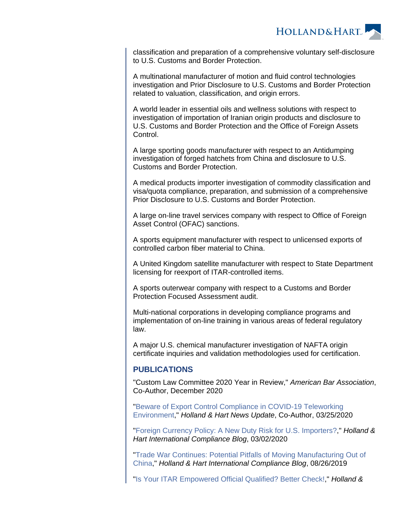

classification and preparation of a comprehensive voluntary self-disclosure to U.S. Customs and Border Protection.

A multinational manufacturer of motion and fluid control technologies investigation and Prior Disclosure to U.S. Customs and Border Protection related to valuation, classification, and origin errors.

A world leader in essential oils and wellness solutions with respect to investigation of importation of Iranian origin products and disclosure to U.S. Customs and Border Protection and the Office of Foreign Assets Control.

A large sporting goods manufacturer with respect to an Antidumping investigation of forged hatchets from China and disclosure to U.S. Customs and Border Protection.

A medical products importer investigation of commodity classification and visa/quota compliance, preparation, and submission of a comprehensive Prior Disclosure to U.S. Customs and Border Protection.

A large on-line travel services company with respect to Office of Foreign Asset Control (OFAC) sanctions.

A sports equipment manufacturer with respect to unlicensed exports of controlled carbon fiber material to China.

A United Kingdom satellite manufacturer with respect to State Department licensing for reexport of ITAR-controlled items.

A sports outerwear company with respect to a Customs and Border Protection Focused Assessment audit.

Multi-national corporations in developing compliance programs and implementation of on-line training in various areas of federal regulatory law.

A major U.S. chemical manufacturer investigation of NAFTA origin certificate inquiries and validation methodologies used for certification.

# **PUBLICATIONS**

"Custom Law Committee 2020 Year in Review," American Bar Association, Co-Author, December 2020

"[Beware of Export Control Compliance in COVID-19 Teleworking](https://www.hollandhart.com/37297)  [Environment,](https://www.hollandhart.com/37297)" Holland & Hart News Update, Co-Author, 03/25/2020

"[Foreign Currency Policy: A New Duty Risk for U.S. Importers?,](https://www.internationalcomplianceblog.com/foreign-currency-policy-a-new-duty-risk-for-u-s-importers/)" Holland & Hart International Compliance Blog, 03/02/2020

"[Trade War Continues: Potential Pitfalls of Moving Manufacturing Out of](https://www.internationalcomplianceblog.com/trade-war-continues-potential-pitfalls-of-moving-manufacturing-out-of-china/)  [China,](https://www.internationalcomplianceblog.com/trade-war-continues-potential-pitfalls-of-moving-manufacturing-out-of-china/)" Holland & Hart International Compliance Blog, 08/26/2019

"[Is Your ITAR Empowered Official Qualified? Better Check!](https://www.hollandhart.com/35566)," Holland &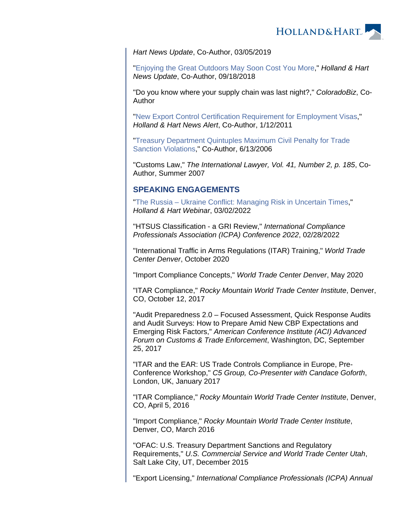

Hart News Update, Co-Author, 03/05/2019

"[Enjoying the Great Outdoors May Soon Cost You More](https://www.hollandhart.com/34892)," **Holland & Hart** News Update, Co-Author, 09/18/2018

"Do you know where your supply chain was last night?," ColoradoBiz, Co-Author

"[New Export Control Certification Requirement for Employment Visas](https://www.hollandhart.com/18025)," Holland & Hart News Alert, Co-Author, 1/12/2011

"[Treasury Department Quintuples Maximum Civil Penalty for Trade](https://www.hollandhart.com/18057)  [Sanction Violations](https://www.hollandhart.com/18057)," Co-Author, 6/13/2006

"Customs Law," The International Lawyer, Vol. 41, Number 2, p. 185, Co-Author, Summer 2007

# **SPEAKING ENGAGEMENTS**

"[The Russia – Ukraine Conflict: Managing Risk in Uncertain Times,](https://www.hollandhart.com/42075)" Holland & Hart Webinar, 03/02/2022

"HTSUS Classification - a GRI Review," International Compliance Professionals Association (ICPA) Conference 2022, 02/28/2022

"International Traffic in Arms Regulations (ITAR) Training," World Trade Center Denver, October 2020

"Import Compliance Concepts," World Trade Center Denver, May 2020

"ITAR Compliance," Rocky Mountain World Trade Center Institute, Denver, CO, October 12, 2017

"Audit Preparedness 2.0 – Focused Assessment, Quick Response Audits and Audit Surveys: How to Prepare Amid New CBP Expectations and Emerging Risk Factors," American Conference Institute (ACI) Advanced Forum on Customs & Trade Enforcement, Washington, DC, September 25, 2017

"ITAR and the EAR: US Trade Controls Compliance in Europe, Pre-Conference Workshop," C5 Group, Co-Presenter with Candace Goforth, London, UK, January 2017

"ITAR Compliance," Rocky Mountain World Trade Center Institute, Denver, CO, April 5, 2016

"Import Compliance," Rocky Mountain World Trade Center Institute, Denver, CO, March 2016

"OFAC: U.S. Treasury Department Sanctions and Regulatory Requirements," U.S. Commercial Service and World Trade Center Utah, Salt Lake City, UT, December 2015

"Export Licensing," International Compliance Professionals (ICPA) Annual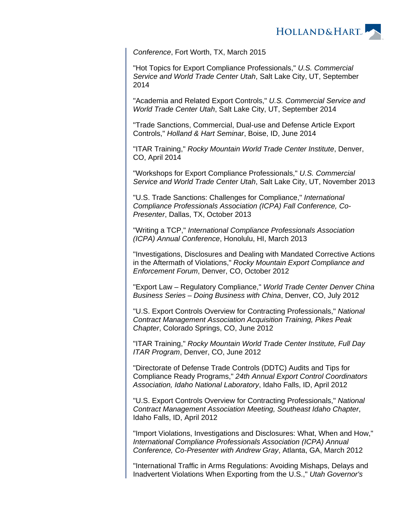

Conference, Fort Worth, TX, March 2015

"Hot Topics for Export Compliance Professionals," U.S. Commercial Service and World Trade Center Utah, Salt Lake City, UT, September 2014

"Academia and Related Export Controls," U.S. Commercial Service and World Trade Center Utah, Salt Lake City, UT, September 2014

"Trade Sanctions, Commercial, Dual-use and Defense Article Export Controls," Holland & Hart Seminar, Boise, ID, June 2014

"ITAR Training," Rocky Mountain World Trade Center Institute, Denver, CO, April 2014

"Workshops for Export Compliance Professionals," U.S. Commercial Service and World Trade Center Utah, Salt Lake City, UT, November 2013

"U.S. Trade Sanctions: Challenges for Compliance," International Compliance Professionals Association (ICPA) Fall Conference, Co-Presenter, Dallas, TX, October 2013

"Writing a TCP," International Compliance Professionals Association (ICPA) Annual Conference, Honolulu, HI, March 2013

"Investigations, Disclosures and Dealing with Mandated Corrective Actions in the Aftermath of Violations," Rocky Mountain Export Compliance and Enforcement Forum, Denver, CO, October 2012

"Export Law – Regulatory Compliance," World Trade Center Denver China Business Series – Doing Business with China, Denver, CO, July 2012

"U.S. Export Controls Overview for Contracting Professionals," National Contract Management Association Acquisition Training, Pikes Peak Chapter, Colorado Springs, CO, June 2012

"ITAR Training," Rocky Mountain World Trade Center Institute, Full Day ITAR Program, Denver, CO, June 2012

"Directorate of Defense Trade Controls (DDTC) Audits and Tips for Compliance Ready Programs," 24th Annual Export Control Coordinators Association, Idaho National Laboratory, Idaho Falls, ID, April 2012

"U.S. Export Controls Overview for Contracting Professionals," National Contract Management Association Meeting, Southeast Idaho Chapter, Idaho Falls, ID, April 2012

"Import Violations, Investigations and Disclosures: What, When and How," International Compliance Professionals Association (ICPA) Annual Conference, Co-Presenter with Andrew Gray, Atlanta, GA, March 2012

"International Traffic in Arms Regulations: Avoiding Mishaps, Delays and Inadvertent Violations When Exporting from the U.S.," Utah Governor's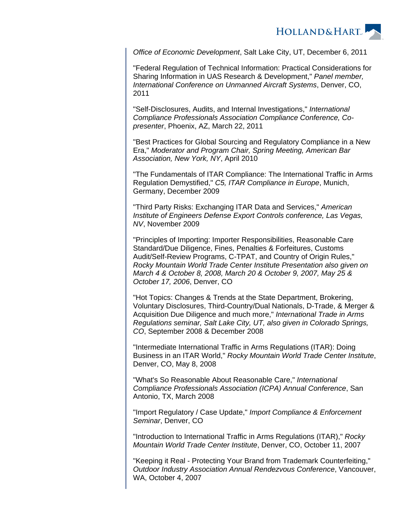

Office of Economic Development, Salt Lake City, UT, December 6, 2011

"Federal Regulation of Technical Information: Practical Considerations for Sharing Information in UAS Research & Development," Panel member, International Conference on Unmanned Aircraft Systems, Denver, CO, 2011

"Self-Disclosures, Audits, and Internal Investigations," International Compliance Professionals Association Compliance Conference, Copresenter, Phoenix, AZ, March 22, 2011

"Best Practices for Global Sourcing and Regulatory Compliance in a New Era," Moderator and Program Chair, Spring Meeting, American Bar Association, New York, NY, April 2010

"The Fundamentals of ITAR Compliance: The International Traffic in Arms Regulation Demystified," C5, ITAR Compliance in Europe, Munich, Germany, December 2009

"Third Party Risks: Exchanging ITAR Data and Services," American Institute of Engineers Defense Export Controls conference, Las Vegas, NV, November 2009

"Principles of Importing: Importer Responsibilities, Reasonable Care Standard/Due Diligence, Fines, Penalties & Forfeitures, Customs Audit/Self-Review Programs, C-TPAT, and Country of Origin Rules," Rocky Mountain World Trade Center Institute Presentation also given on March 4 & October 8, 2008, March 20 & October 9, 2007, May 25 & October 17, 2006, Denver, CO

"Hot Topics: Changes & Trends at the State Department, Brokering, Voluntary Disclosures, Third-Country/Dual Nationals, D-Trade, & Merger & Acquisition Due Diligence and much more," International Trade in Arms Regulations seminar, Salt Lake City, UT, also given in Colorado Springs, CO, September 2008 & December 2008

"Intermediate International Traffic in Arms Regulations (ITAR): Doing Business in an ITAR World," Rocky Mountain World Trade Center Institute, Denver, CO, May 8, 2008

"What's So Reasonable About Reasonable Care," International Compliance Professionals Association (ICPA) Annual Conference, San Antonio, TX, March 2008

"Import Regulatory / Case Update," Import Compliance & Enforcement Seminar, Denver, CO

"Introduction to International Traffic in Arms Regulations (ITAR)," Rocky Mountain World Trade Center Institute, Denver, CO, October 11, 2007

"Keeping it Real - Protecting Your Brand from Trademark Counterfeiting," Outdoor Industry Association Annual Rendezvous Conference, Vancouver, WA, October 4, 2007